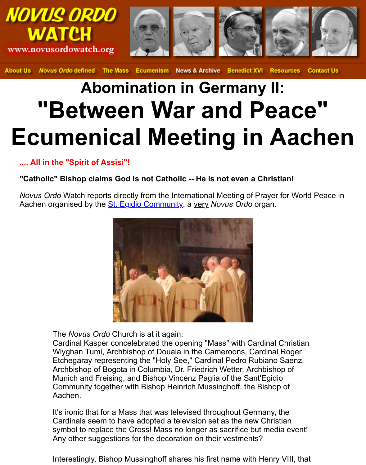## **Abomination in Germany II: "Between War and Peace" Ecumenical Meeting in Aa**

**.... All in the "Spirit of Assisi"!**

## **"Catholic" Bishop claims God is not Catholic -- He is not even a Christian!**

*Novus Ordo* Watch reports directly from the International Meeting of Prayer for W Aachen organised by the St. Egidio Community, a very *Novus Ordo* organ.



The *Novus Ordo* Church is at it again:

Cardinal Kasper concelebrated the opening "Mass" with Cardinal Christ Wiyghan Tumi, Archbishop of Douala in the Cameroons, Cardinal Roge Etchegaray representing the "Holy See," Cardinal Pedro Rubiano Saenz, Archbishop of Bogota in Columbia, Dr. Friedrich Wetter, Archbishop of Munich and Freising, and Bishop Vincenz Paglia of the Sant'Egidio Community together with Bishop Heinrich Mussinghoff, the Bishop of Aachen.

It's ironic that for a Mass that was televised throughout Germany, the Cardinals seem to have adopted a television set as the new Christian symbol to replace the Cross! Mass no longer as sacrifice but media eve Any other suggestions for the decoration on their vestments?

Interestingly, Bishop Mussinghoff shares his first name with Henry VIII,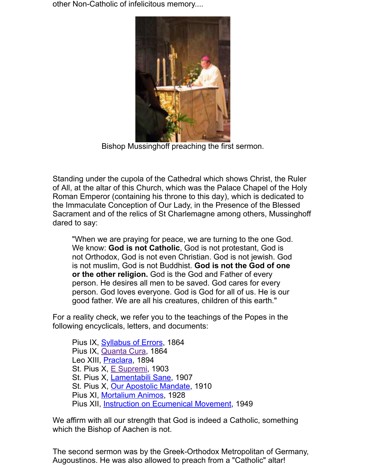

Bishop Mussinghoff preaching the first sermon.

Standing under the cupola of the Cathedral which shows Christ, the Ru of All, at the altar of this Church, which was the Palace Chapel of the Ho Roman Emperor (containing his throne to this day), which is dedicated to the Immaculate Conception of Our Lady, in the Presence of the Blessed Sacrament and of the relics of St Charlemagne among others, Mussing dared to say:

"When we are praying for peace, we are turning to the one God. We know: **God is not Catholic**, God is not protestant, God is not Orthodox, God is not even Christian. God is not jewish. God is not muslim, God is not Buddhist. **God is not the God of one or the other religion.** God is the God and Father of every person. He desires all men to be saved. God cares for every person. God loves everyone. God is God for all of us. He is our good father. We are all his creatures, children of this earth."

For a reality check, we refer you to the teachings of the Popes in the following encyclicals, letters, and documents:

Pius IX, Syllabus of Errors, 1864 Pius IX, Quanta Cura, 1864 Leo XIII, Praclara, 1894 St. Pius X, **E Supremi**, 1903 St. Pius X, Lamentabili Sane, 1907 St. Pius X, Our Apostolic Mandate, 1910 Pius XI, Mortalium Animos, 1928 Pius XII, Instruction on Ecumenical Movement, 1949

We affirm wit[h all our strength th](http://www.papalencyclicals.net/Pius09/p9syll.htm)at God is indeed a Catholic, something which the Bis[hop of Aachen](http://www.papalencyclicals.net/Pius09/p9quanta.htm) is not.

The second ser[mon was by](http://www.papalencyclicals.net/Pius10/p10supre.htm) the Greek-Orthodox Metropolitan of Germa Augoustinos. He [was also allowed](http://www.papalencyclicals.net/Pius10/p10lamen.htm) [to pre](http://www.kensmen.com/catholic/apostolicmandate.html)ach from a "Catholic" altar!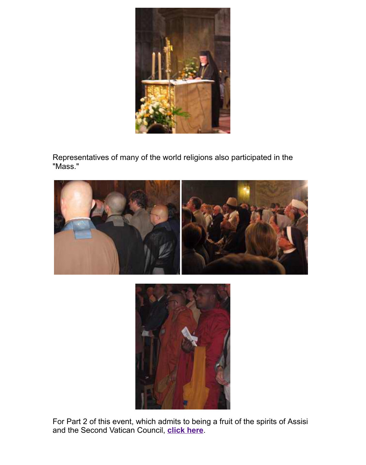

Representatives of many of the world religions also participated in the "Mass."





For Part 2 of this event, which admits to being a fruit of the spirits of Ass and the Second Vatican Council, **click here**.